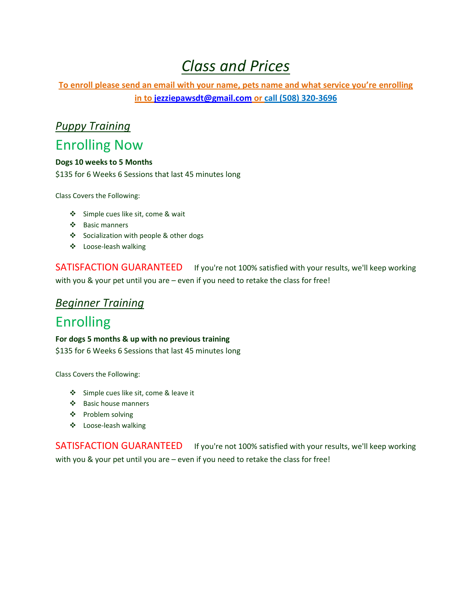# *Class and Prices*

**To enroll please send an email with your name, pets name and what service you're enrolling in to [jezziepawsdt@gmail.com](mailto:jezziepawsdt@gmail.com) or call (508) 320-3696**

# *Puppy Training*

## Enrolling Now

#### **Dogs 10 weeks to 5 Months**

\$135 for 6 Weeks 6 Sessions that last 45 minutes long

Class Covers the Following:

- Simple cues like sit, come & wait
- Basic manners
- Socialization with people & other dogs
- Loose-leash walking

SATISFACTION GUARANTEED If you're not 100% satisfied with your results, we'll keep working with you & your pet until you are – even if you need to retake the class for free!

#### *Beginner Training*

# Enrolling

**For dogs 5 months & up with no previous training**

\$135 for 6 Weeks 6 Sessions that last 45 minutes long

Class Covers the Following:

- Simple cues like sit, come & leave it
- Basic house manners
- ❖ Problem solving
- Loose-leash walking

SATISFACTION GUARANTEED If you're not 100% satisfied with your results, we'll keep working with you & your pet until you are – even if you need to retake the class for free!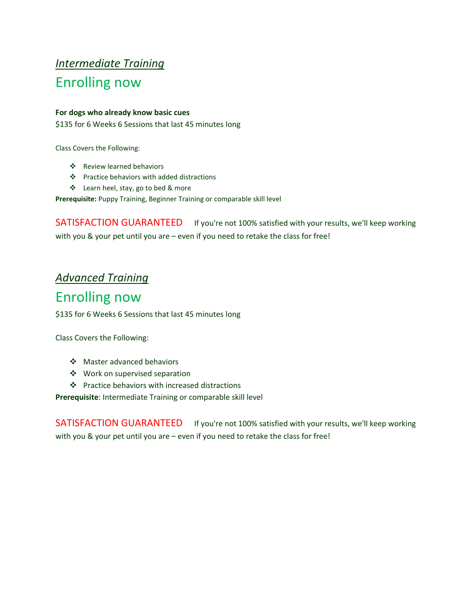# *Intermediate Training* Enrolling now

#### **For dogs who already know basic cues**

\$135 for 6 Weeks 6 Sessions that last 45 minutes long

Class Covers the Following:

- Review learned behaviors
- Practice behaviors with added distractions
- Learn heel, stay, go to bed & more

**Prerequisite:** Puppy Training, Beginner Training or comparable skill level

SATISFACTION GUARANTEED If you're not 100% satisfied with your results, we'll keep working with you & your pet until you are – even if you need to retake the class for free!

### *Advanced Training*

# Enrolling now

\$135 for 6 Weeks 6 Sessions that last 45 minutes long

Class Covers the Following:

- Master advanced behaviors
- Work on supervised separation
- Practice behaviors with increased distractions

**Prerequisite**: Intermediate Training or comparable skill level

SATISFACTION GUARANTEED If you're not 100% satisfied with your results, we'll keep working with you & your pet until you are – even if you need to retake the class for free!